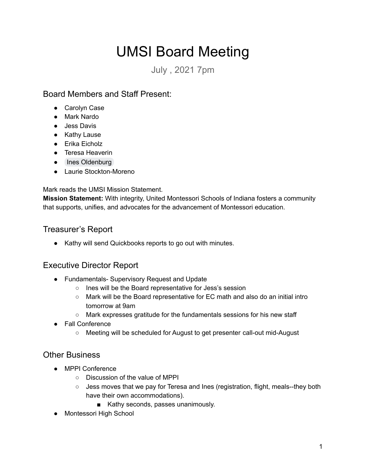# UMSI Board Meeting

July , 2021 7pm

## Board Members and Staff Present:

- Carolyn Case
- Mark Nardo
- Jess Davis
- Kathy Lause
- Erika Eicholz
- Teresa Heaverin
- Ines Oldenburg
- Laurie Stockton-Moreno

Mark reads the UMSI Mission Statement.

**Mission Statement:** With integrity, United Montessori Schools of Indiana fosters a community that supports, unifies, and advocates for the advancement of Montessori education.

## Treasurer's Report

● Kathy will send Quickbooks reports to go out with minutes.

# Executive Director Report

- Fundamentals- Supervisory Request and Update
	- Ines will be the Board representative for Jess's session
	- Mark will be the Board representative for EC math and also do an initial intro tomorrow at 9am
	- Mark expresses gratitude for the fundamentals sessions for his new staff
- Fall Conference
	- Meeting will be scheduled for August to get presenter call-out mid-August

### Other Business

- MPPI Conference
	- Discussion of the value of MPPI
	- Jess moves that we pay for Teresa and lnes (registration, flight, meals--they both have their own accommodations).
		- Kathy seconds, passes unanimously.
- Montessori High School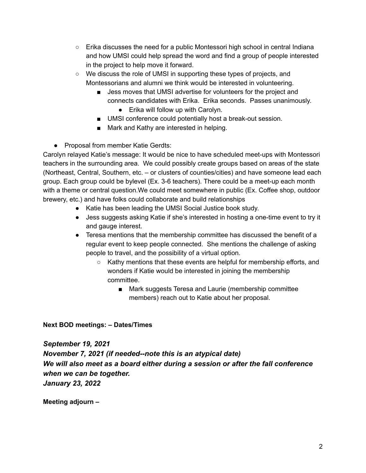- $\circ$  Erika discusses the need for a public Montessori high school in central Indiana and how UMSI could help spread the word and find a group of people interested in the project to help move it forward.
- We discuss the role of UMSI in supporting these types of projects, and Montessorians and alumni we think would be interested in volunteering.
	- Jess moves that UMSI advertise for volunteers for the project and connects candidates with Erika. Erika seconds. Passes unanimously.
		- Erika will follow up with Carolyn.
	- UMSI conference could potentially host a break-out session.
	- Mark and Kathy are interested in helping.

● Proposal from member Katie Gerdts:

Carolyn relayed Katie's message: It would be nice to have scheduled meet-ups with Montessori teachers in the surrounding area. We could possibly create groups based on areas of the state (Northeast, Central, Southern, etc. – or clusters of counties/cities) and have someone lead each group. Each group could be bylevel (Ex. 3-6 teachers). There could be a meet-up each month with a theme or central question.We could meet somewhere in public (Ex. Coffee shop, outdoor brewery, etc.) and have folks could collaborate and build relationships

- Katie has been leading the UMSI Social Justice book study.
- Jess suggests asking Katie if she's interested in hosting a one-time event to try it and gauge interest.
- Teresa mentions that the membership committee has discussed the benefit of a regular event to keep people connected. She mentions the challenge of asking people to travel, and the possibility of a virtual option.
	- Kathy mentions that these events are helpful for membership efforts, and wonders if Katie would be interested in joining the membership committee.
		- Mark suggests Teresa and Laurie (membership committee members) reach out to Katie about her proposal.

#### **Next BOD meetings: – Dates/Times**

*September 19, 2021 November 7, 2021 (if needed--note this is an atypical date) We will also meet as a board either during a session or after the fall conference when we can be together. January 23, 2022*

**Meeting adjourn –**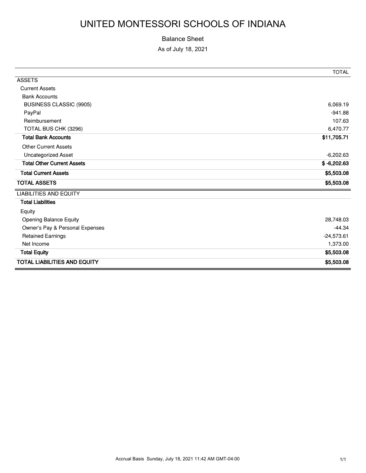# UNITED MONTESSORI SCHOOLS OF INDIANA

#### Balance Sheet

As of July 18, 2021

|                                     | <b>TOTAL</b>  |
|-------------------------------------|---------------|
| <b>ASSETS</b>                       |               |
| <b>Current Assets</b>               |               |
| <b>Bank Accounts</b>                |               |
| <b>BUSINESS CLASSIC (9905)</b>      | 6,069.19      |
| PayPal                              | $-941.88$     |
| Reimbursement                       | 107.63        |
| TOTAL BUS CHK (3296)                | 6,470.77      |
| <b>Total Bank Accounts</b>          | \$11,705.71   |
| <b>Other Current Assets</b>         |               |
| <b>Uncategorized Asset</b>          | $-6,202.63$   |
| <b>Total Other Current Assets</b>   | $$ -6,202.63$ |
| <b>Total Current Assets</b>         | \$5,503.08    |
| <b>TOTAL ASSETS</b>                 | \$5,503.08    |
| <b>LIABILITIES AND EQUITY</b>       |               |
| <b>Total Liabilities</b>            |               |
| Equity                              |               |
| Opening Balance Equity              | 28,748.03     |
| Owner's Pay & Personal Expenses     | $-44.34$      |
| <b>Retained Earnings</b>            | $-24,573.61$  |
| Net Income                          | 1,373.00      |
| <b>Total Equity</b>                 | \$5,503.08    |
| <b>TOTAL LIABILITIES AND EQUITY</b> | \$5,503.08    |